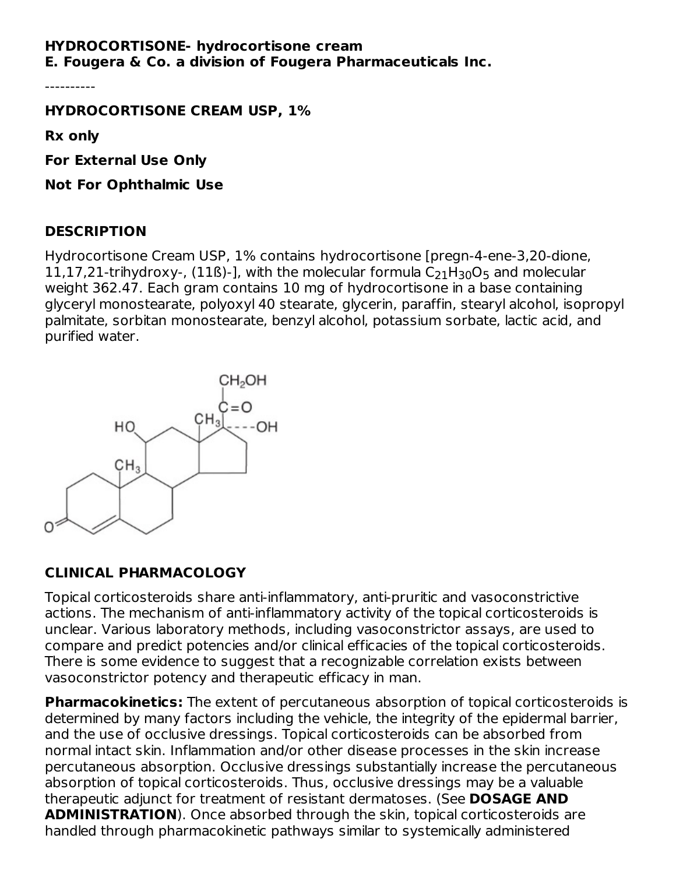### **HYDROCORTISONE- hydrocortisone cream E. Fougera & Co. a division of Fougera Pharmaceuticals Inc.**

----------

#### **HYDROCORTISONE CREAM USP, 1%**

**Rx only**

**For External Use Only**

**Not For Ophthalmic Use**

#### **DESCRIPTION**

Hydrocortisone Cream USP, 1% contains hydrocortisone [pregn-4-ene-3,20-dione, 11,17,21-trihydroxy-, (11ß)-], with the molecular formula  $\rm{C_{21}H_{30}O_5}$  and molecular weight 362.47. Each gram contains 10 mg of hydrocortisone in a base containing glyceryl monostearate, polyoxyl 40 stearate, glycerin, paraffin, stearyl alcohol, isopropyl palmitate, sorbitan monostearate, benzyl alcohol, potassium sorbate, lactic acid, and purified water.



#### **CLINICAL PHARMACOLOGY**

Topical corticosteroids share anti-inflammatory, anti-pruritic and vasoconstrictive actions. The mechanism of anti-inflammatory activity of the topical corticosteroids is unclear. Various laboratory methods, including vasoconstrictor assays, are used to compare and predict potencies and/or clinical efficacies of the topical corticosteroids. There is some evidence to suggest that a recognizable correlation exists between vasoconstrictor potency and therapeutic efficacy in man.

**Pharmacokinetics:** The extent of percutaneous absorption of topical corticosteroids is determined by many factors including the vehicle, the integrity of the epidermal barrier, and the use of occlusive dressings. Topical corticosteroids can be absorbed from normal intact skin. Inflammation and/or other disease processes in the skin increase percutaneous absorption. Occlusive dressings substantially increase the percutaneous absorption of topical corticosteroids. Thus, occlusive dressings may be a valuable therapeutic adjunct for treatment of resistant dermatoses. (See **DOSAGE AND ADMINISTRATION**). Once absorbed through the skin, topical corticosteroids are handled through pharmacokinetic pathways similar to systemically administered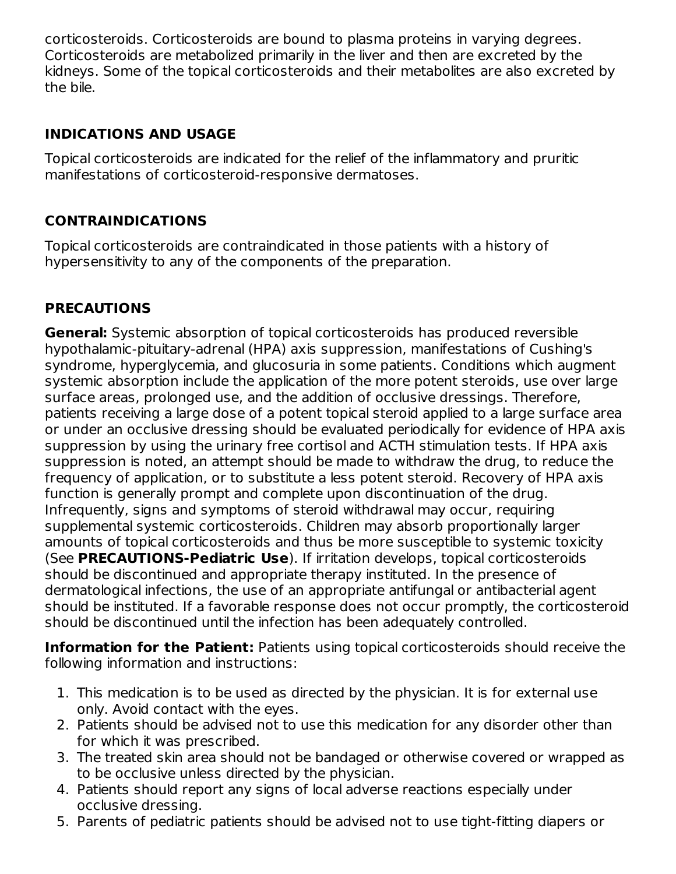corticosteroids. Corticosteroids are bound to plasma proteins in varying degrees. Corticosteroids are metabolized primarily in the liver and then are excreted by the kidneys. Some of the topical corticosteroids and their metabolites are also excreted by the bile.

### **INDICATIONS AND USAGE**

Topical corticosteroids are indicated for the relief of the inflammatory and pruritic manifestations of corticosteroid-responsive dermatoses.

# **CONTRAINDICATIONS**

Topical corticosteroids are contraindicated in those patients with a history of hypersensitivity to any of the components of the preparation.

# **PRECAUTIONS**

**General:** Systemic absorption of topical corticosteroids has produced reversible hypothalamic-pituitary-adrenal (HPA) axis suppression, manifestations of Cushing's syndrome, hyperglycemia, and glucosuria in some patients. Conditions which augment systemic absorption include the application of the more potent steroids, use over large surface areas, prolonged use, and the addition of occlusive dressings. Therefore, patients receiving a large dose of a potent topical steroid applied to a large surface area or under an occlusive dressing should be evaluated periodically for evidence of HPA axis suppression by using the urinary free cortisol and ACTH stimulation tests. If HPA axis suppression is noted, an attempt should be made to withdraw the drug, to reduce the frequency of application, or to substitute a less potent steroid. Recovery of HPA axis function is generally prompt and complete upon discontinuation of the drug. Infrequently, signs and symptoms of steroid withdrawal may occur, requiring supplemental systemic corticosteroids. Children may absorb proportionally larger amounts of topical corticosteroids and thus be more susceptible to systemic toxicity (See **PRECAUTIONS-Pediatric Use**). If irritation develops, topical corticosteroids should be discontinued and appropriate therapy instituted. In the presence of dermatological infections, the use of an appropriate antifungal or antibacterial agent should be instituted. If a favorable response does not occur promptly, the corticosteroid should be discontinued until the infection has been adequately controlled.

**Information for the Patient:** Patients using topical corticosteroids should receive the following information and instructions:

- 1. This medication is to be used as directed by the physician. It is for external use only. Avoid contact with the eyes.
- 2. Patients should be advised not to use this medication for any disorder other than for which it was prescribed.
- 3. The treated skin area should not be bandaged or otherwise covered or wrapped as to be occlusive unless directed by the physician.
- 4. Patients should report any signs of local adverse reactions especially under occlusive dressing.
- 5. Parents of pediatric patients should be advised not to use tight-fitting diapers or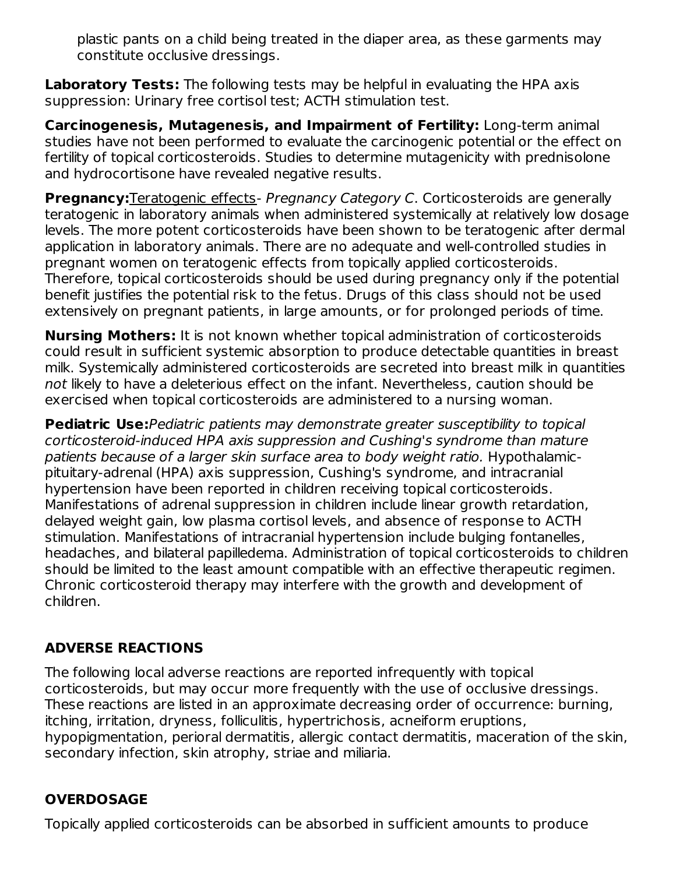plastic pants on a child being treated in the diaper area, as these garments may constitute occlusive dressings.

**Laboratory Tests:** The following tests may be helpful in evaluating the HPA axis suppression: Urinary free cortisol test; ACTH stimulation test.

**Carcinogenesis, Mutagenesis, and Impairment of Fertility:** Long-term animal studies have not been performed to evaluate the carcinogenic potential or the effect on fertility of topical corticosteroids. Studies to determine mutagenicity with prednisolone and hydrocortisone have revealed negative results.

**Pregnancy:**Teratogenic effects- Pregnancy Category C. Corticosteroids are generally teratogenic in laboratory animals when administered systemically at relatively low dosage levels. The more potent corticosteroids have been shown to be teratogenic after dermal application in laboratory animals. There are no adequate and well-controlled studies in pregnant women on teratogenic effects from topically applied corticosteroids. Therefore, topical corticosteroids should be used during pregnancy only if the potential benefit justifies the potential risk to the fetus. Drugs of this class should not be used extensively on pregnant patients, in large amounts, or for prolonged periods of time.

**Nursing Mothers:** It is not known whether topical administration of corticosteroids could result in sufficient systemic absorption to produce detectable quantities in breast milk. Systemically administered corticosteroids are secreted into breast milk in quantities not likely to have a deleterious effect on the infant. Nevertheless, caution should be exercised when topical corticosteroids are administered to a nursing woman.

**Pediatric Use:**Pediatric patients may demonstrate greater susceptibility to topical corticosteroid-induced HPA axis suppression and Cushing's syndrome than mature patients because of a larger skin surface area to body weight ratio. Hypothalamicpituitary-adrenal (HPA) axis suppression, Cushing's syndrome, and intracranial hypertension have been reported in children receiving topical corticosteroids. Manifestations of adrenal suppression in children include linear growth retardation, delayed weight gain, low plasma cortisol levels, and absence of response to ACTH stimulation. Manifestations of intracranial hypertension include bulging fontanelles, headaches, and bilateral papilledema. Administration of topical corticosteroids to children should be limited to the least amount compatible with an effective therapeutic regimen. Chronic corticosteroid therapy may interfere with the growth and development of children.

# **ADVERSE REACTIONS**

The following local adverse reactions are reported infrequently with topical corticosteroids, but may occur more frequently with the use of occlusive dressings. These reactions are listed in an approximate decreasing order of occurrence: burning, itching, irritation, dryness, folliculitis, hypertrichosis, acneiform eruptions, hypopigmentation, perioral dermatitis, allergic contact dermatitis, maceration of the skin, secondary infection, skin atrophy, striae and miliaria.

# **OVERDOSAGE**

Topically applied corticosteroids can be absorbed in sufficient amounts to produce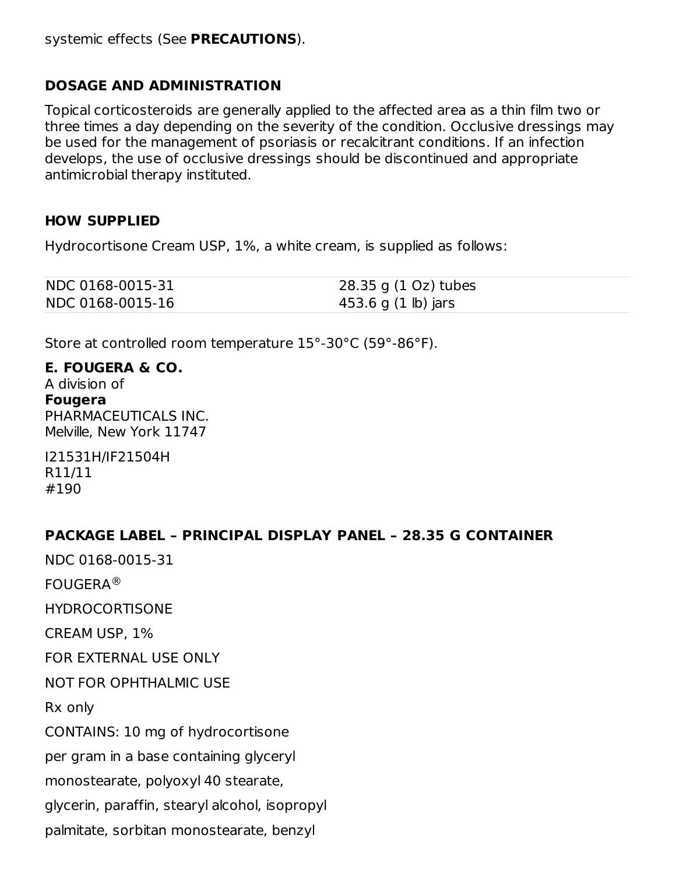systemic effects (See **PRECAUTIONS**).

#### **DOSAGE AND ADMINISTRATION**

Topical corticosteroids are generally applied to the affected area as a thin film two or three times a day depending on the severity of the condition. Occlusive dressings may be used for the management of psoriasis or recalcitrant conditions. If an infection develops, the use of occlusive dressings should be discontinued and appropriate antimicrobial therapy instituted.

### **HOW SUPPLIED**

Hydrocortisone Cream USP, 1%, a white cream, is supplied as follows:

| NDC 0168-0015-31 | 28.35 g (1 Oz) tubes |
|------------------|----------------------|
| NDC 0168-0015-16 | 453.6 g (1 lb) jars  |

Store at controlled room temperature 15°-30°C (59°-86°F).

**E. FOUGERA & CO.** A division of **Fougera** PHARMACEUTICALS INC. Melville, New York 11747

I21531H/IF21504H R11/11 #190

### **PACKAGE LABEL – PRINCIPAL DISPLAY PANEL – 28.35 G CONTAINER**

NDC 0168-0015-31

FOUGERA ®

HYDROCORTISONE

CREAM USP, 1%

FOR EXTERNAL USE ONLY

NOT FOR OPHTHALMIC USE

Rx only

CONTAINS: 10 mg of hydrocortisone

per gram in a base containing glyceryl

monostearate, polyoxyl 40 stearate,

glycerin, paraffin, stearyl alcohol, isopropyl

palmitate, sorbitan monostearate, benzyl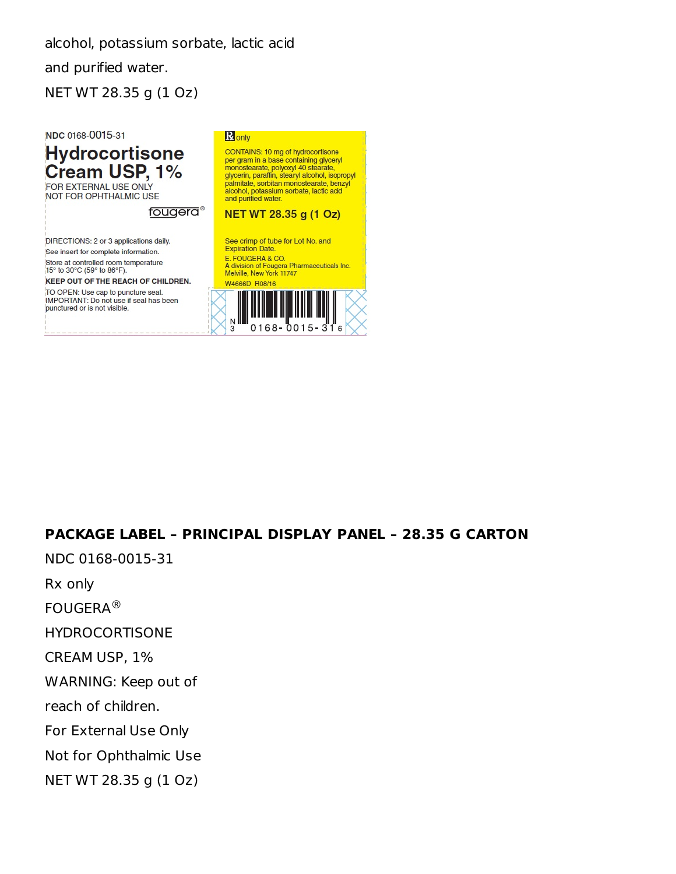alcohol, potassium sorbate, lactic acid and purified water.

NET WT 28.35 g (1 Oz)



N

 $\overline{3}$ 

**PACKAGE LABEL – PRINCIPAL DISPLAY PANEL – 28.35 G CARTON**

0168-0015-316

NDC 0168-0015-31

Rx only

FOUGERA ®

HYDROCORTISONE

CREAM USP, 1%

WARNING: Keep out of

reach of children.

For External Use Only

Not for Ophthalmic Use

NET WT 28.35 g (1 Oz)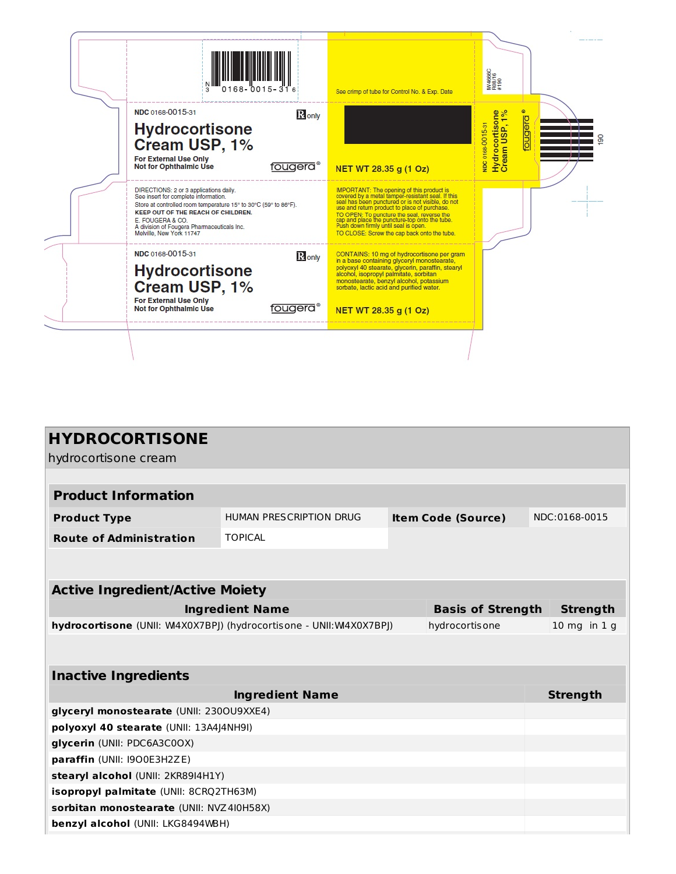|                                                                                                                                                                                                                                                                                       |                               | See crimp of tube for Control No. & Exp. Date                                                                                                                                                                                                                                                                                                                                             | M4666<br>R08/16<br>#190                             |                    |  |  |
|---------------------------------------------------------------------------------------------------------------------------------------------------------------------------------------------------------------------------------------------------------------------------------------|-------------------------------|-------------------------------------------------------------------------------------------------------------------------------------------------------------------------------------------------------------------------------------------------------------------------------------------------------------------------------------------------------------------------------------------|-----------------------------------------------------|--------------------|--|--|
| NDC 0168-0015-31<br><b>Hydrocortisone</b><br>Cream USP, 1%<br><b>For External Use Only</b><br><b>Not for Ophthalmic Use</b>                                                                                                                                                           | R <sub>only</sub><br>fougera® | NET WT 28.35 g (1 Oz)                                                                                                                                                                                                                                                                                                                                                                     | Hydrocortisone<br>Cream USP, 1%<br>VDC 0168-0015-31 | œ<br><b>Diebno</b> |  |  |
| DIRECTIONS: 2 or 3 applications daily.<br>See insert for complete information.<br>Store at controlled room temperature 15° to 30°C (59° to 86°F).<br>KEEP OUT OF THE REACH OF CHILDREN.<br>E. FOUGERA & CO.<br>A division of Fougera Pharmaceuticals Inc.<br>Melville, New York 11747 |                               | IMPORTANT: The opening of this product is<br>covered by a metal tamper-resistant seal. If this<br>seal has been punctured or is not visible, do not<br>use and return product to place of purchase.<br>TO OPEN: To puncture the seal, reverse the<br>cap and place the puncture-top onto the tube.<br>Push down firmly until seal is open.<br>TO CLOSE: Screw the cap back onto the tube. |                                                     |                    |  |  |
| NDC 0168-0015-31<br><b>Hydrocortisone</b><br>Cream USP, 1%<br><b>For External Use Only</b><br><b>Not for Ophthalmic Use</b>                                                                                                                                                           | $\mathbf R$ only<br>fougera®  | CONTAINS: 10 mg of hydrocortisone per gram<br>in a base containing glyceryl monostearate,<br>polyoxyl 40 stearate, glycerin, paraffin, stearyl<br>alcohol, isopropyl palmitate, sorbitan<br>monostearate, benzyl alcohol, potassium<br>sorbate, lactic acid and purified water.<br>NET WT 28.35 g (1 Oz)                                                                                  |                                                     |                    |  |  |

| <b>HYDROCORTISONE</b><br>hydrocortisone cream                                         |                                |  |                           |                |                 |  |
|---------------------------------------------------------------------------------------|--------------------------------|--|---------------------------|----------------|-----------------|--|
|                                                                                       |                                |  |                           |                |                 |  |
| <b>Product Information</b>                                                            |                                |  |                           |                |                 |  |
| <b>Product Type</b>                                                                   | <b>HUMAN PRESCRIPTION DRUG</b> |  | <b>Item Code (Source)</b> |                | NDC:0168-0015   |  |
| <b>Route of Administration</b>                                                        | <b>TOPICAL</b>                 |  |                           |                |                 |  |
|                                                                                       |                                |  |                           |                |                 |  |
| <b>Active Ingredient/Active Moiety</b>                                                |                                |  |                           |                |                 |  |
| <b>Ingredient Name</b><br><b>Basis of Strength</b>                                    |                                |  |                           |                | <b>Strength</b> |  |
| hydrocortisone (UNII: W4X0X7BPJ) (hydrocortisone - UNII: W4X0X7BPJ)<br>hydrocortisone |                                |  |                           | 10 mg in $1 g$ |                 |  |
|                                                                                       |                                |  |                           |                |                 |  |
| <b>Inactive Ingredients</b>                                                           |                                |  |                           |                |                 |  |
|                                                                                       | <b>Ingredient Name</b>         |  |                           |                | <b>Strength</b> |  |
| glyceryl monostearate (UNII: 2300U9XXE4)                                              |                                |  |                           |                |                 |  |
| polyoxyl 40 stearate (UNII: 13A4J4NH9I)                                               |                                |  |                           |                |                 |  |
| glycerin (UNII: PDC6A3C0OX)                                                           |                                |  |                           |                |                 |  |
| paraffin (UNII: I900E3H2ZE)                                                           |                                |  |                           |                |                 |  |
| stearyl alcohol (UNII: 2KR89I4H1Y)                                                    |                                |  |                           |                |                 |  |
| isopropyl palmitate (UNII: 8CRQ2TH63M)                                                |                                |  |                           |                |                 |  |
| sorbitan monostearate (UNII: NVZ 410H58X)                                             |                                |  |                           |                |                 |  |
| <b>benzyl alcohol (UNII: LKG8494WBH)</b>                                              |                                |  |                           |                |                 |  |